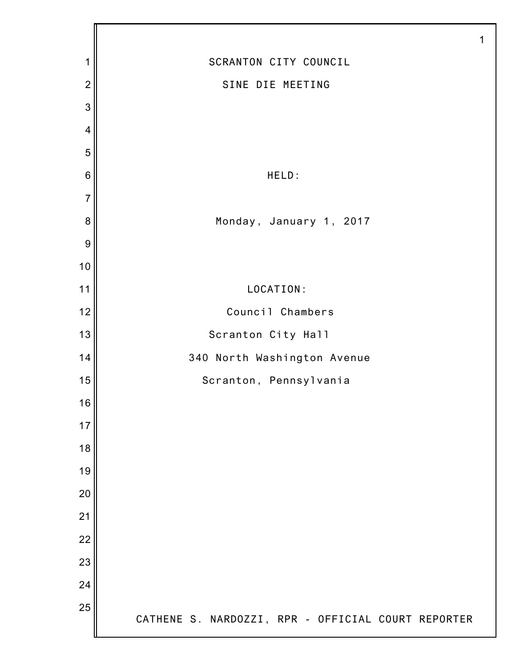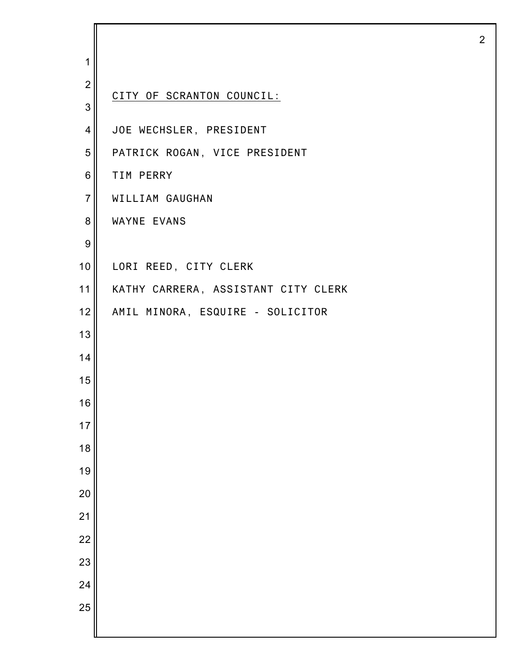| 1                |                                     |
|------------------|-------------------------------------|
| $\mathbf{2}$     |                                     |
| 3                | CITY OF SCRANTON COUNCIL:           |
| $\overline{4}$   | JOE WECHSLER, PRESIDENT             |
| 5                | PATRICK ROGAN, VICE PRESIDENT       |
| 6                | TIM PERRY                           |
| $\overline{7}$   | WILLIAM GAUGHAN                     |
| 8                | <b>WAYNE EVANS</b>                  |
| $\boldsymbol{9}$ |                                     |
| 10               | LORI REED, CITY CLERK               |
| 11               | KATHY CARRERA, ASSISTANT CITY CLERK |
| 12               | AMIL MINORA, ESQUIRE - SOLICITOR    |
| 13               |                                     |
| 14               |                                     |
| 15               |                                     |
| 16               |                                     |
| 17               |                                     |
| 18               |                                     |
| 19               |                                     |
| 20               |                                     |
| 21               |                                     |
| 22               |                                     |
| 23               |                                     |
| 24               |                                     |
| 25               |                                     |
|                  |                                     |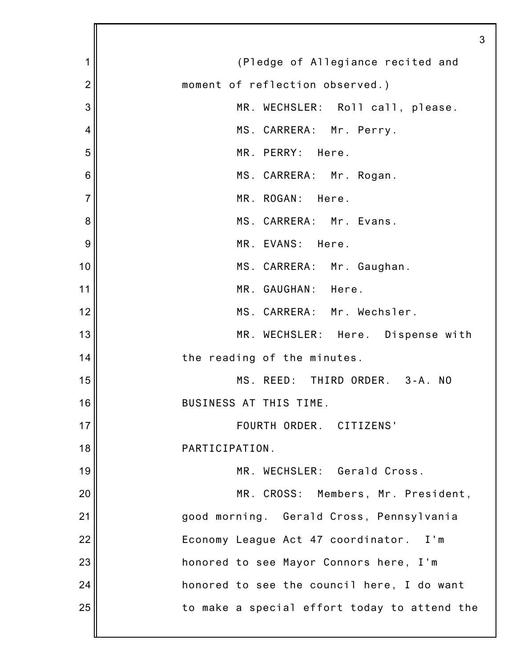|                | 3                                            |
|----------------|----------------------------------------------|
| 1              | (Pledge of Allegiance recited and            |
| $\overline{2}$ | moment of reflection observed.)              |
| 3              | MR. WECHSLER: Roll call, please.             |
| 4              | MS. CARRERA: Mr. Perry.                      |
| 5              | MR. PERRY: Here.                             |
| 6              | MS. CARRERA: Mr. Rogan.                      |
| 7              | MR. ROGAN: Here.                             |
| 8              | MS. CARRERA: Mr. Evans.                      |
| 9              | MR. EVANS: Here.                             |
| 10             | MS. CARRERA: Mr. Gaughan.                    |
| 11             | MR. GAUGHAN: Here.                           |
| 12             | MS. CARRERA: Mr. Wechsler.                   |
| 13             | MR. WECHSLER: Here. Dispense with            |
| 14             | the reading of the minutes.                  |
| 15             | MS. REED: THIRD ORDER.<br>$3 - A$ . NO       |
| 16             | BUSINESS AT THIS TIME.                       |
| 17             | FOURTH ORDER. CITIZENS'                      |
| 18             | PARTICIPATION.                               |
| 19             | MR. WECHSLER: Gerald Cross.                  |
| 20             | MR. CROSS: Members, Mr. President,           |
| 21             | good morning. Gerald Cross, Pennsylvania     |
| 22             | Economy League Act 47 coordinator. I'm       |
| 23             | honored to see Mayor Connors here, I'm       |
| 24             | honored to see the council here, I do want   |
| 25             | to make a special effort today to attend the |
|                |                                              |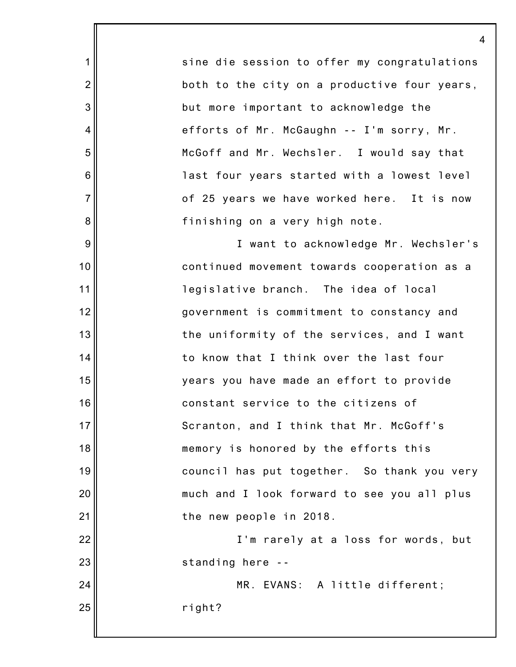sine die session to offer my congratulations both to the city on a productive four years, but more important to acknowledge the efforts of Mr. McGaughn -- I'm sorry, Mr. McGoff and Mr. Wechsler. I would say that last four years started with a lowest level of 25 years we have worked here. It is now finishing on a very high note.

1

2

3

4

5

6

7

8

9

10

11

12

13

14

15

16

17

18

19

20

21

22

23

24

25

I want to acknowledge Mr. Wechsler's continued movement towards cooperation as a legislative branch. The idea of local government is commitment to constancy and the uniformity of the services, and I want to know that I think over the last four years you have made an effort to provide constant service to the citizens of Scranton, and I think that Mr. McGoff's memory is honored by the efforts this council has put together. So thank you very much and I look forward to see you all plus the new people in 2018.

I'm rarely at a loss for words, but standing here --

MR. EVANS: A little different; right?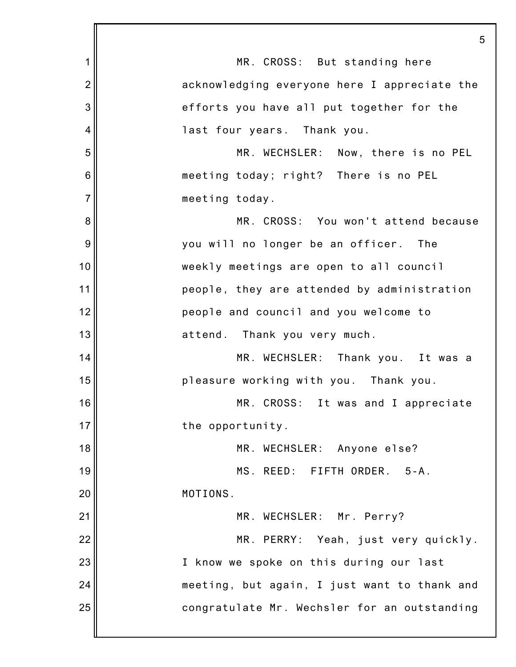|                | 5                                            |
|----------------|----------------------------------------------|
| 1              | MR. CROSS: But standing here                 |
| $\overline{2}$ | acknowledging everyone here I appreciate the |
| 3              | efforts you have all put together for the    |
| 4              | last four years. Thank you.                  |
| 5              | MR. WECHSLER: Now, there is no PEL           |
| 6              | meeting today; right? There is no PEL        |
| $\overline{7}$ | meeting today.                               |
| 8              | MR. CROSS: You won't attend because          |
| 9              | you will no longer be an officer. The        |
| 10             | weekly meetings are open to all council      |
| 11             | people, they are attended by administration  |
| 12             | people and council and you welcome to        |
| 13             | attend. Thank you very much.                 |
| 14             | MR. WECHSLER: Thank you. It was a            |
| 15             | pleasure working with you. Thank you.        |
| 16             | MR. CROSS: It was and I appreciate           |
| 17             | the opportunity.                             |
| 18             | MR. WECHSLER: Anyone else?                   |
| 19             | MS. REED: FIFTH ORDER. 5-A.                  |
| 20             | MOTIONS.                                     |
| 21             | MR. WECHSLER: Mr. Perry?                     |
| 22             | MR. PERRY: Yeah, just very quickly.          |
| 23             | I know we spoke on this during our last      |
| 24             | meeting, but again, I just want to thank and |
| 25             | congratulate Mr. Wechsler for an outstanding |
|                |                                              |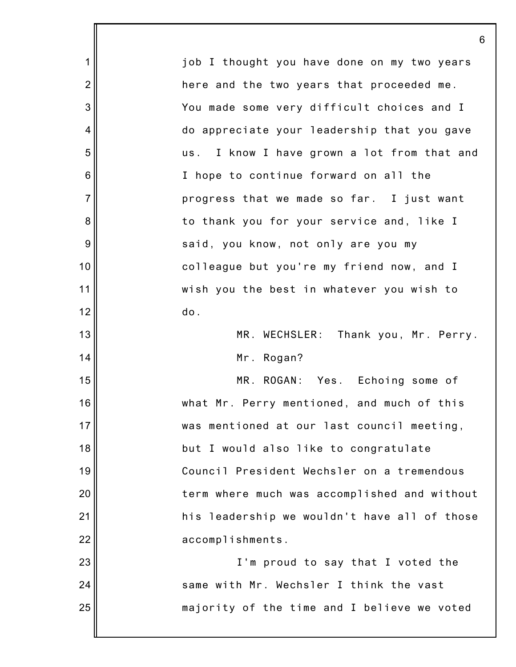1 2 3 4 5 6 7 8 9 10 11 12 13 14 15 16 17 18 19 20 21 22 23 24 25 job I thought you have done on my two years here and the two years that proceeded me. You made some very difficult choices and I do appreciate your leadership that you gave us. I know I have grown a lot from that and I hope to continue forward on all the progress that we made so far. I just want to thank you for your service and, like I said, you know, not only are you my colleague but you're my friend now, and I wish you the best in whatever you wish to do. MR. WECHSLER: Thank you, Mr. Perry. Mr. Rogan? MR. ROGAN: Yes. Echoing some of what Mr. Perry mentioned, and much of this was mentioned at our last council meeting, but I would also like to congratulate Council President Wechsler on a tremendous term where much was accomplished and without his leadership we wouldn't have all of those accomplishments. I'm proud to say that I voted the same with Mr. Wechsler I think the vast majority of the time and I believe we voted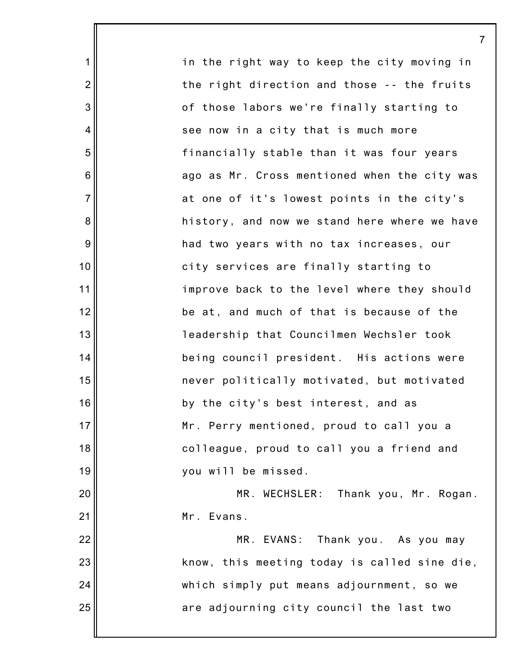in the right way to keep the city moving in the right direction and those -- the fruits of those labors we're finally starting to see now in a city that is much more financially stable than it was four years ago as Mr. Cross mentioned when the city was at one of it's lowest points in the city's history, and now we stand here where we have had two years with no tax increases, our city services are finally starting to improve back to the level where they should be at, and much of that is because of the leadership that Councilmen Wechsler took being council president. His actions were never politically motivated, but motivated by the city's best interest, and as Mr. Perry mentioned, proud to call you a colleague, proud to call you a friend and you will be missed. MR. WECHSLER: Thank you, Mr. Rogan. Mr. Evans. MR. EVANS: Thank you. As you may know, this meeting today is called sine die,

1

2

3

4

5

6

7

8

9

10

11

12

13

14

15

16

17

18

19

20

21

22

23

24

25

are adjourning city council the last two

which simply put means adjournment, so we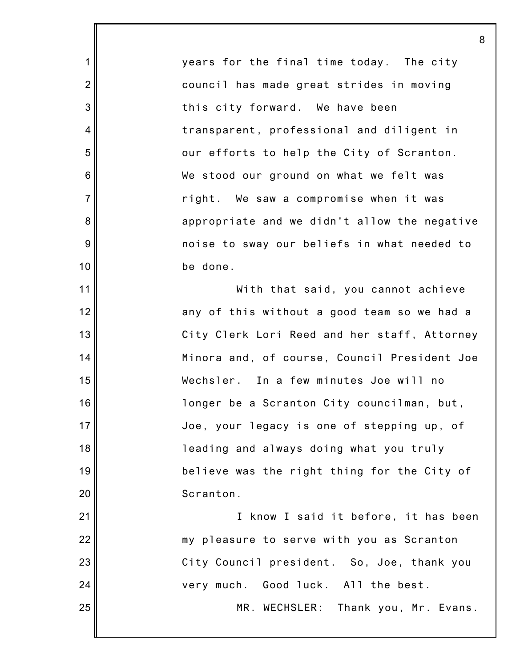years for the final time today. The city council has made great strides in moving this city forward. We have been transparent, professional and diligent in our efforts to help the City of Scranton. We stood our ground on what we felt was right. We saw a compromise when it was appropriate and we didn't allow the negative noise to sway our beliefs in what needed to be done.

1

2

3

4

5

6

7

8

9

10

11

12

13

14

15

16

17

18

19

20

21

24

25

With that said, you cannot achieve any of this without a good team so we had a City Clerk Lori Reed and her staff, Attorney Minora and, of course, Council President Joe Wechsler. In a few minutes Joe will no longer be a Scranton City councilman, but, Joe, your legacy is one of stepping up, of leading and always doing what you truly believe was the right thing for the City of Scranton.

22 23 I know I said it before, it has been my pleasure to serve with you as Scranton City Council president. So, Joe, thank you very much. Good luck. All the best.

MR. WECHSLER: Thank you, Mr. Evans.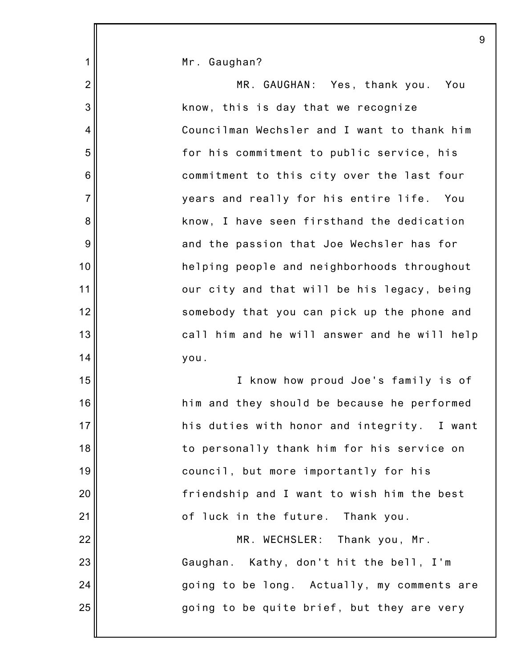|                | 9                                            |
|----------------|----------------------------------------------|
| 1              | Mr. Gaughan?                                 |
| $\overline{2}$ | MR. GAUGHAN: Yes, thank you. You             |
| 3              | know, this is day that we recognize          |
| 4              | Councilman Wechsler and I want to thank him  |
| 5              | for his commitment to public service, his    |
| 6              | commitment to this city over the last four   |
| $\overline{7}$ | years and really for his entire life. You    |
| 8              | know, I have seen firsthand the dedication   |
| 9              | and the passion that Joe Wechsler has for    |
| 10             | helping people and neighborhoods throughout  |
| 11             | our city and that will be his legacy, being  |
| 12             | somebody that you can pick up the phone and  |
| 13             | call him and he will answer and he will help |
| 14             | you.                                         |
| 15             | I know how proud Joe's family is of          |
| 16             | him and they should be because he performed  |
| 17             | his duties with honor and integrity. I want  |
| 18             | to personally thank him for his service on   |
| 19             | council, but more importantly for his        |
| 20             | friendship and I want to wish him the best   |
| 21             | of luck in the future. Thank you.            |
| 22             | MR. WECHSLER: Thank you, Mr.                 |
| 23             | Gaughan. Kathy, don't hit the bell, I'm      |
| 24             | going to be long. Actually, my comments are  |
| 25             | going to be quite brief, but they are very   |
|                |                                              |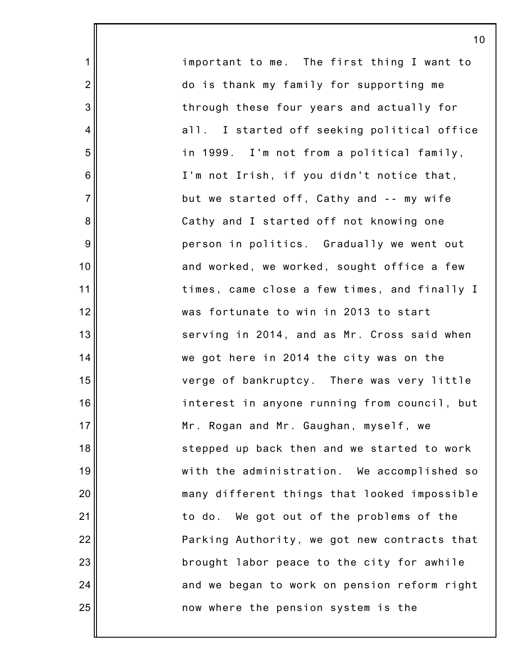important to me. The first thing I want to do is thank my family for supporting me through these four years and actually for all. I started off seeking political office in 1999. I'm not from a political family, I'm not Irish, if you didn't notice that, but we started off, Cathy and -- my wife Cathy and I started off not knowing one person in politics. Gradually we went out and worked, we worked, sought office a few times, came close a few times, and finally I was fortunate to win in 2013 to start serving in 2014, and as Mr. Cross said when we got here in 2014 the city was on the verge of bankruptcy. There was very little interest in anyone running from council, but Mr. Rogan and Mr. Gaughan, myself, we stepped up back then and we started to work with the administration. We accomplished so many different things that looked impossible to do. We got out of the problems of the Parking Authority, we got new contracts that brought labor peace to the city for awhile and we began to work on pension reform right now where the pension system is the

10

1

2

3

4

5

6

7

8

9

10

11

12

13

14

15

16

17

18

19

20

21

22

23

24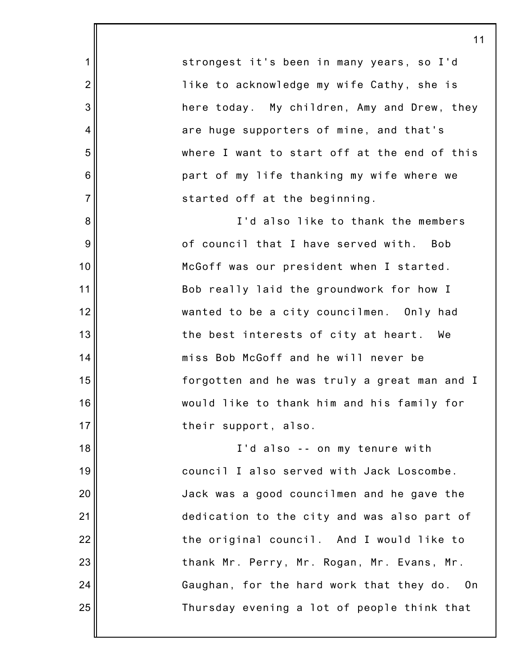strongest it's been in many years, so I'd like to acknowledge my wife Cathy, she is here today. My children, Amy and Drew, they are huge supporters of mine, and that's where I want to start off at the end of this part of my life thanking my wife where we started off at the beginning.

1

2

3

4

5

6

7

8

9

10

11

12

13

14

15

16

17

18

19

20

21

22

23

24

25

I'd also like to thank the members of council that I have served with. Bob McGoff was our president when I started. Bob really laid the groundwork for how I wanted to be a city councilmen. Only had the best interests of city at heart. We miss Bob McGoff and he will never be forgotten and he was truly a great man and I would like to thank him and his family for their support, also.

I'd also -- on my tenure with council I also served with Jack Loscombe. Jack was a good councilmen and he gave the dedication to the city and was also part of the original council. And I would like to thank Mr. Perry, Mr. Rogan, Mr. Evans, Mr. Gaughan, for the hard work that they do. On Thursday evening a lot of people think that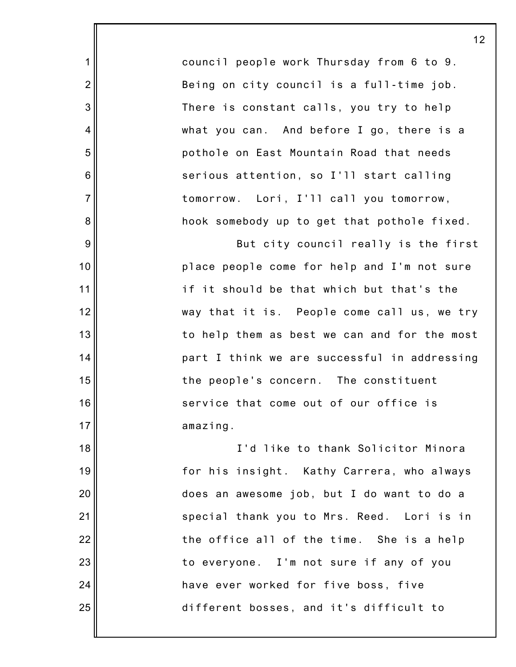council people work Thursday from 6 to 9. Being on city council is a full-time job. There is constant calls, you try to help what you can. And before I go, there is a pothole on East Mountain Road that needs serious attention, so I'll start calling tomorrow. Lori, I'll call you tomorrow, hook somebody up to get that pothole fixed.

1

2

3

4

5

6

7

8

9

10

11

12

13

14

15

16

17

But city council really is the first place people come for help and I'm not sure if it should be that which but that's the way that it is. People come call us, we try to help them as best we can and for the most part I think we are successful in addressing the people's concern. The constituent service that come out of our office is amazing.

18 19 20 21 22 23 24 25 I'd like to thank Solicitor Minora for his insight. Kathy Carrera, who always does an awesome job, but I do want to do a special thank you to Mrs. Reed. Lori is in the office all of the time. She is a help to everyone. I'm not sure if any of you have ever worked for five boss, five different bosses, and it's difficult to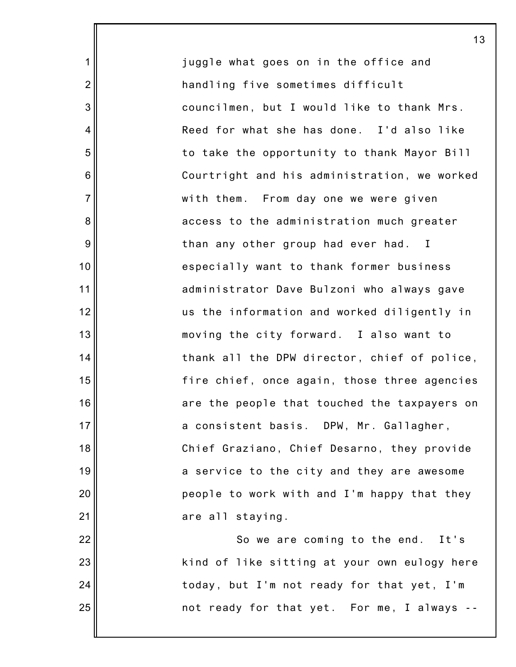juggle what goes on in the office and handling five sometimes difficult councilmen, but I would like to thank Mrs. Reed for what she has done. I'd also like to take the opportunity to thank Mayor Bill Courtright and his administration, we worked with them. From day one we were given access to the administration much greater than any other group had ever had. I especially want to thank former business administrator Dave Bulzoni who always gave us the information and worked diligently in moving the city forward. I also want to thank all the DPW director, chief of police, fire chief, once again, those three agencies are the people that touched the taxpayers on a consistent basis. DPW, Mr. Gallagher, Chief Graziano, Chief Desarno, they provide a service to the city and they are awesome people to work with and I'm happy that they are all staying. So we are coming to the end. It's

1

2

3

4

5

6

7

8

9

10

11

12

13

14

15

16

17

18

19

20

21

22

23

24

25

kind of like sitting at your own eulogy here today, but I'm not ready for that yet, I'm not ready for that yet. For me, I always --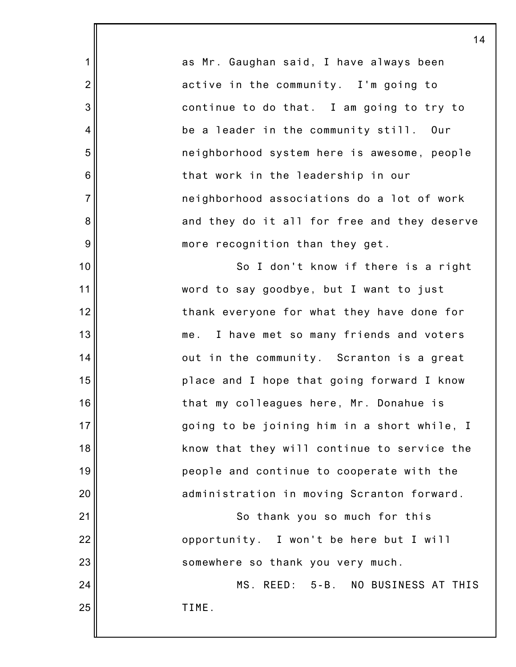as Mr. Gaughan said, I have always been active in the community. I'm going to continue to do that. I am going to try to be a leader in the community still. Our neighborhood system here is awesome, people that work in the leadership in our neighborhood associations do a lot of work and they do it all for free and they deserve more recognition than they get. So I don't know if there is a right word to say goodbye, but I want to just thank everyone for what they have done for me. I have met so many friends and voters out in the community. Scranton is a great

1

2

3

4

5

6

7

8

9

10

11

12

13

14

15

16

17

18

19

20

21

22

23

place and I hope that going forward I know that my colleagues here, Mr. Donahue is going to be joining him in a short while, I know that they will continue to service the people and continue to cooperate with the administration in moving Scranton forward.

So thank you so much for this opportunity. I won't be here but I will somewhere so thank you very much.

24 25 MS. REED: 5-B. NO BUSINESS AT THIS TIME.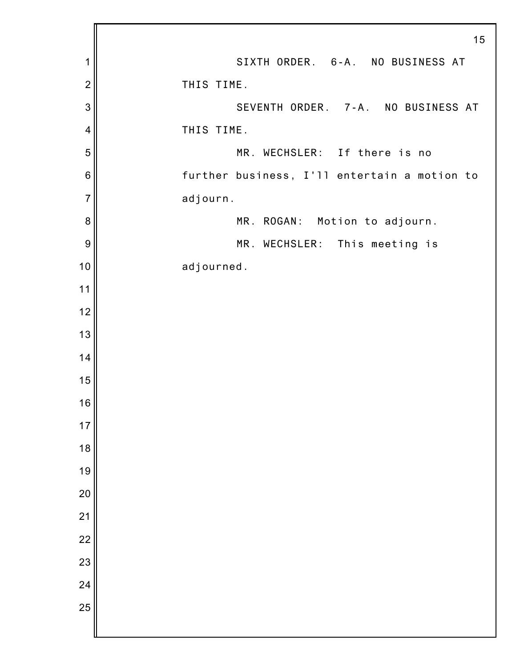|                 | 15                                           |
|-----------------|----------------------------------------------|
| 1               | SIXTH ORDER. 6-A. NO BUSINESS AT             |
| $\overline{c}$  | THIS TIME.                                   |
| 3               | SEVENTH ORDER. 7-A. NO BUSINESS AT           |
| 4               | THIS TIME.                                   |
| 5               | MR. WECHSLER: If there is no                 |
| $6\phantom{1}6$ | further business, I'll entertain a motion to |
| $\overline{7}$  | adjourn.                                     |
| 8               | MR. ROGAN: Motion to adjourn.                |
| 9               | MR. WECHSLER: This meeting is                |
| 10              | adjourned.                                   |
| 11              |                                              |
| 12              |                                              |
| 13              |                                              |
| 14              |                                              |
| 15              |                                              |
| 16              |                                              |
| 17              |                                              |
| 18              |                                              |
| 19              |                                              |
| 20              |                                              |
| 21              |                                              |
| $\overline{22}$ |                                              |
| 23              |                                              |
| 24              |                                              |
| 25              |                                              |
|                 |                                              |